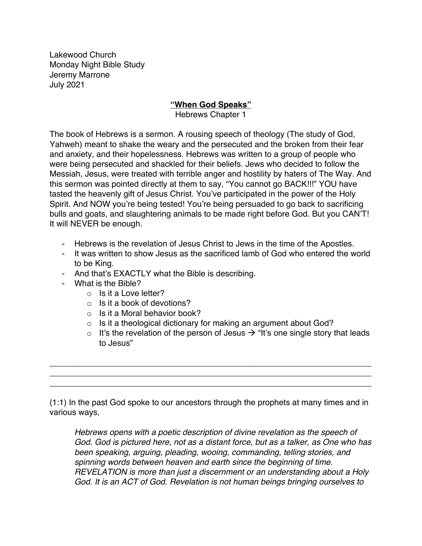Lakewood Church Monday Night Bible Study Jeremy Marrone July 2021

## **"When God Speaks"**

Hebrews Chapter 1

The book of Hebrews is a sermon. A rousing speech of theology (The study of God, Yahweh) meant to shake the weary and the persecuted and the broken from their fear and anxiety, and their hopelessness. Hebrews was written to a group of people who were being persecuted and shackled for their beliefs. Jews who decided to follow the Messiah, Jesus, were treated with terrible anger and hostility by haters of The Way. And this sermon was pointed directly at them to say, "You cannot go BACK!!!" YOU have tasted the heavenly gift of Jesus Christ. You've participated in the power of the Holy Spirit. And NOW you're being tested! You're being persuaded to go back to sacrificing bulls and goats, and slaughtering animals to be made right before God. But you CAN'T! It will NEVER be enough.

- Hebrews is the revelation of Jesus Christ to Jews in the time of the Apostles.
- It was written to show Jesus as the sacrificed lamb of God who entered the world to be King.
- And that's EXACTLY what the Bible is describing.
- What is the Bible?
	- o Is it a Love letter?
	- $\circ$  Is it a book of devotions?
	- $\circ$  Is it a Moral behavior book?
	- $\circ$  Is it a theological dictionary for making an argument about God?

\_\_\_\_\_\_\_\_\_\_\_\_\_\_\_\_\_\_\_\_\_\_\_\_\_\_\_\_\_\_\_\_\_\_\_\_\_\_\_\_\_\_\_\_\_\_\_\_\_\_\_\_\_\_\_\_\_\_\_\_\_\_\_\_\_\_\_\_\_\_ \_\_\_\_\_\_\_\_\_\_\_\_\_\_\_\_\_\_\_\_\_\_\_\_\_\_\_\_\_\_\_\_\_\_\_\_\_\_\_\_\_\_\_\_\_\_\_\_\_\_\_\_\_\_\_\_\_\_\_\_\_\_\_\_\_\_\_\_\_\_ \_\_\_\_\_\_\_\_\_\_\_\_\_\_\_\_\_\_\_\_\_\_\_\_\_\_\_\_\_\_\_\_\_\_\_\_\_\_\_\_\_\_\_\_\_\_\_\_\_\_\_\_\_\_\_\_\_\_\_\_\_\_\_\_\_\_\_\_\_\_

o It's the revelation of the person of Jesus  $\rightarrow$  "It's one single story that leads to Jesus"

(1:1) In the past God spoke to our ancestors through the prophets at many times and in various ways,

*Hebrews opens with a poetic description of divine revelation as the speech of God. God is pictured here, not as a distant force, but as a talker, as One who has been speaking, arguing, pleading, wooing, commanding, telling stories, and spinning words between heaven and earth since the beginning of time*. *REVELATION is more than just a discernment or an understanding about a Holy God*. *It is an ACT of God. Revelation is not human beings bringing ourselves to*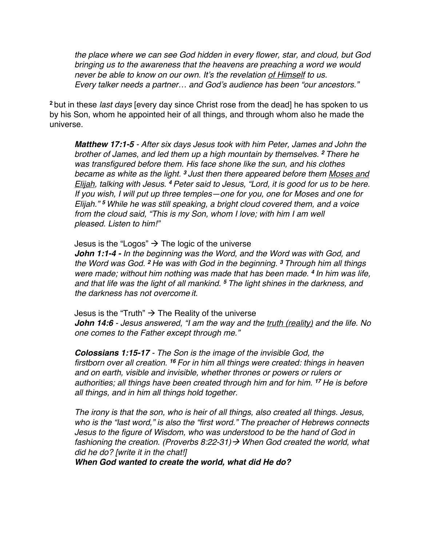*the place where we can see God hidden in every flower, star, and cloud, but God bringing us to the awareness that the heavens are preaching a word we would never be able to know on our own. It's the revelation of Himself to us. Every talker needs a partner… and God's audience has been "our ancestors."* 

**<sup>2</sup>** but in these *last days* [every day since Christ rose from the dead] he has spoken to us by his Son, whom he appointed heir of all things, and through whom also he made the universe.

*Matthew 17:1-5 - After six days Jesus took with him Peter, James and John the brother of James, and led them up a high mountain by themselves. <sup>2</sup> There he was transfigured before them. His face shone like the sun, and his clothes became as white as the light. <sup>3</sup> Just then there appeared before them Moses and Elijah, talking with Jesus. <sup>4</sup> Peter said to Jesus, "Lord, it is good for us to be here. If you wish, I will put up three temples—one for you, one for Moses and one for Elijah." <sup>5</sup> While he was still speaking, a bright cloud covered them, and a voice from the cloud said, "This is my Son, whom I love; with him I am well pleased. Listen to him!"*

Jesus is the "Logos"  $\rightarrow$  The logic of the universe

*John 1:1-4 - In the beginning was the Word, and the Word was with God, and the Word was God. <sup>2</sup> He was with God in the beginning. <sup>3</sup> Through him all things were made; without him nothing was made that has been made. <sup>4</sup> In him was life, and that life was the light of all mankind. <sup>5</sup> The light shines in the darkness, and the darkness has not overcome it.*

Jesus is the "Truth"  $\rightarrow$  The Reality of the universe *John 14:6 - Jesus answered, "I am the way and the truth (reality) and the life. No one comes to the Father except through me."*

*Colossians 1:15-17 - The Son is the image of the invisible God, the firstborn over all creation. <sup>16</sup> For in him all things were created: things in heaven and on earth, visible and invisible, whether thrones or powers or rulers or authorities; all things have been created through him and for him. <sup>17</sup> He is before all things, and in him all things hold together.*

*The irony is that the son, who is heir of all things, also created all things. Jesus, who is the "last word," is also the "first word." The preacher of Hebrews connects Jesus to the figure of Wisdom, who was understood to be the hand of God in fashioning the creation. (Proverbs 8:22-31)*à *When God created the world, what did he do? [write it in the chat!]* 

*When God wanted to create the world, what did He do?*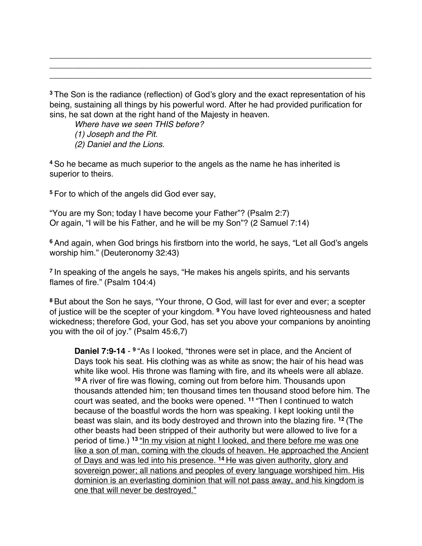**<sup>3</sup>** The Son is the radiance (reflection) of God's glory and the exact representation of his being, sustaining all things by his powerful word. After he had provided purification for sins, he sat down at the right hand of the Majesty in heaven.

\_\_\_\_\_\_\_\_\_\_\_\_\_\_\_\_\_\_\_\_\_\_\_\_\_\_\_\_\_\_\_\_\_\_\_\_\_\_\_\_\_\_\_\_\_\_\_\_\_\_\_\_\_\_\_\_\_\_\_\_\_\_\_\_\_\_\_\_\_\_ \_\_\_\_\_\_\_\_\_\_\_\_\_\_\_\_\_\_\_\_\_\_\_\_\_\_\_\_\_\_\_\_\_\_\_\_\_\_\_\_\_\_\_\_\_\_\_\_\_\_\_\_\_\_\_\_\_\_\_\_\_\_\_\_\_\_\_\_\_\_ \_\_\_\_\_\_\_\_\_\_\_\_\_\_\_\_\_\_\_\_\_\_\_\_\_\_\_\_\_\_\_\_\_\_\_\_\_\_\_\_\_\_\_\_\_\_\_\_\_\_\_\_\_\_\_\_\_\_\_\_\_\_\_\_\_\_\_\_\_\_

*Where have we seen THIS before? (1) Joseph and the Pit. (2) Daniel and the Lions.* 

**<sup>4</sup>** So he became as much superior to the angels as the name he has inherited is superior to theirs.

**<sup>5</sup>** For to which of the angels did God ever say,

"You are my Son; today I have become your Father"? (Psalm 2:7) Or again, "I will be his Father, and he will be my Son"? (2 Samuel 7:14)

**<sup>6</sup>** And again, when God brings his firstborn into the world, he says, "Let all God's angels worship him." (Deuteronomy 32:43)

**<sup>7</sup>** In speaking of the angels he says, "He makes his angels spirits, and his servants flames of fire." (Psalm 104:4)

**<sup>8</sup>** But about the Son he says, "Your throne, O God, will last for ever and ever; a scepter of justice will be the scepter of your kingdom. **<sup>9</sup>** You have loved righteousness and hated wickedness; therefore God, your God, has set you above your companions by anointing you with the oil of joy." (Psalm 45:6,7)

**Daniel 7:9-14** - **<sup>9</sup>** "As I looked, "thrones were set in place, and the Ancient of Days took his seat. His clothing was as white as snow; the hair of his head was white like wool. His throne was flaming with fire, and its wheels were all ablaze. **<sup>10</sup>** A river of fire was flowing, coming out from before him. Thousands upon thousands attended him; ten thousand times ten thousand stood before him. The court was seated, and the books were opened. **<sup>11</sup>** "Then I continued to watch because of the boastful words the horn was speaking. I kept looking until the beast was slain, and its body destroyed and thrown into the blazing fire. **<sup>12</sup>** (The other beasts had been stripped of their authority but were allowed to live for a period of time.) **<sup>13</sup>** "In my vision at night I looked, and there before me was one like a son of man, coming with the clouds of heaven. He approached the Ancient of Days and was led into his presence. **<sup>14</sup>** He was given authority, glory and sovereign power; all nations and peoples of every language worshiped him. His dominion is an everlasting dominion that will not pass away, and his kingdom is one that will never be destroyed."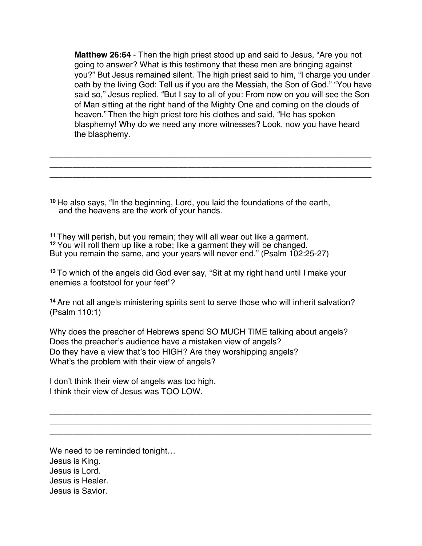**Matthew 26:64** - Then the high priest stood up and said to Jesus, "Are you not going to answer? What is this testimony that these men are bringing against you?" But Jesus remained silent. The high priest said to him, "I charge you under oath by the living God: Tell us if you are the Messiah, the Son of God." "You have said so," Jesus replied. "But I say to all of you: From now on you will see the Son of Man sitting at the right hand of the Mighty One and coming on the clouds of heaven." Then the high priest tore his clothes and said, "He has spoken blasphemy! Why do we need any more witnesses? Look, now you have heard the blasphemy.

\_\_\_\_\_\_\_\_\_\_\_\_\_\_\_\_\_\_\_\_\_\_\_\_\_\_\_\_\_\_\_\_\_\_\_\_\_\_\_\_\_\_\_\_\_\_\_\_\_\_\_\_\_\_\_\_\_\_\_\_\_\_\_\_\_\_\_\_\_\_ \_\_\_\_\_\_\_\_\_\_\_\_\_\_\_\_\_\_\_\_\_\_\_\_\_\_\_\_\_\_\_\_\_\_\_\_\_\_\_\_\_\_\_\_\_\_\_\_\_\_\_\_\_\_\_\_\_\_\_\_\_\_\_\_\_\_\_\_\_\_ \_\_\_\_\_\_\_\_\_\_\_\_\_\_\_\_\_\_\_\_\_\_\_\_\_\_\_\_\_\_\_\_\_\_\_\_\_\_\_\_\_\_\_\_\_\_\_\_\_\_\_\_\_\_\_\_\_\_\_\_\_\_\_\_\_\_\_\_\_\_

**<sup>10</sup>** He also says, "In the beginning, Lord, you laid the foundations of the earth, and the heavens are the work of your hands.

**<sup>11</sup>** They will perish, but you remain; they will all wear out like a garment. **<sup>12</sup>** You will roll them up like a robe; like a garment they will be changed. But you remain the same, and your years will never end." (Psalm 102:25-27)

**<sup>13</sup>** To which of the angels did God ever say, "Sit at my right hand until I make your enemies a footstool for your feet"?

**<sup>14</sup>** Are not all angels ministering spirits sent to serve those who will inherit salvation? (Psalm 110:1)

Why does the preacher of Hebrews spend SO MUCH TIME talking about angels? Does the preacher's audience have a mistaken view of angels? Do they have a view that's too HIGH? Are they worshipping angels? What's the problem with their view of angels?

\_\_\_\_\_\_\_\_\_\_\_\_\_\_\_\_\_\_\_\_\_\_\_\_\_\_\_\_\_\_\_\_\_\_\_\_\_\_\_\_\_\_\_\_\_\_\_\_\_\_\_\_\_\_\_\_\_\_\_\_\_\_\_\_\_\_\_\_\_\_ \_\_\_\_\_\_\_\_\_\_\_\_\_\_\_\_\_\_\_\_\_\_\_\_\_\_\_\_\_\_\_\_\_\_\_\_\_\_\_\_\_\_\_\_\_\_\_\_\_\_\_\_\_\_\_\_\_\_\_\_\_\_\_\_\_\_\_\_\_\_ \_\_\_\_\_\_\_\_\_\_\_\_\_\_\_\_\_\_\_\_\_\_\_\_\_\_\_\_\_\_\_\_\_\_\_\_\_\_\_\_\_\_\_\_\_\_\_\_\_\_\_\_\_\_\_\_\_\_\_\_\_\_\_\_\_\_\_\_\_\_

I don't think their view of angels was too high. I think their view of Jesus was TOO LOW.

We need to be reminded tonight… Jesus is King. Jesus is Lord. Jesus is Healer. Jesus is Savior.